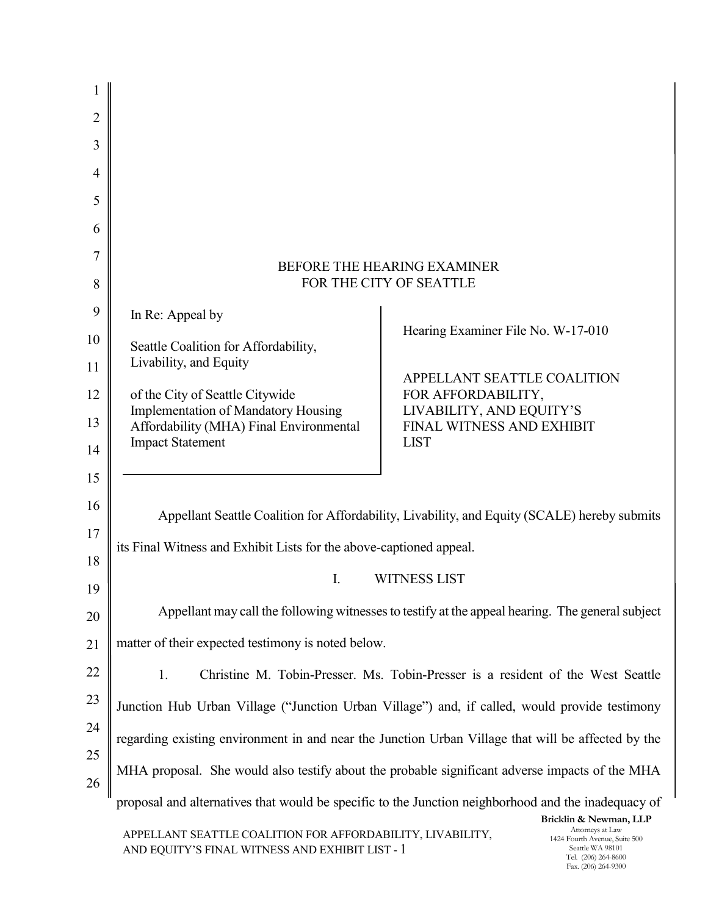| 1        |                                                                                                     |                                                |                                                   |
|----------|-----------------------------------------------------------------------------------------------------|------------------------------------------------|---------------------------------------------------|
| 2        |                                                                                                     |                                                |                                                   |
| 3        |                                                                                                     |                                                |                                                   |
| 4        |                                                                                                     |                                                |                                                   |
| 5        |                                                                                                     |                                                |                                                   |
| 6        |                                                                                                     |                                                |                                                   |
| 7        |                                                                                                     | <b>BEFORE THE HEARING EXAMINER</b>             |                                                   |
| 8        |                                                                                                     | FOR THE CITY OF SEATTLE                        |                                                   |
| 9        | In Re: Appeal by                                                                                    | Hearing Examiner File No. W-17-010             |                                                   |
| 10       | Seattle Coalition for Affordability,                                                                |                                                |                                                   |
| 11       | Livability, and Equity                                                                              | APPELLANT SEATTLE COALITION                    |                                                   |
| 12       | of the City of Seattle Citywide<br><b>Implementation of Mandatory Housing</b>                       | FOR AFFORDABILITY,<br>LIVABILITY, AND EQUITY'S |                                                   |
| 13       | Affordability (MHA) Final Environmental<br><b>Impact Statement</b>                                  | FINAL WITNESS AND EXHIBIT<br><b>LIST</b>       |                                                   |
| 14       |                                                                                                     |                                                |                                                   |
| 15<br>16 |                                                                                                     |                                                |                                                   |
| 17       | Appellant Seattle Coalition for Affordability, Livability, and Equity (SCALE) hereby submits        |                                                |                                                   |
| 18       | its Final Witness and Exhibit Lists for the above-captioned appeal.                                 |                                                |                                                   |
| 19       | I.                                                                                                  | <b>WITNESS LIST</b>                            |                                                   |
| 20       | Appellant may call the following witnesses to testify at the appeal hearing. The general subject    |                                                |                                                   |
| 21       | matter of their expected testimony is noted below.                                                  |                                                |                                                   |
| 22       | 1.<br>Christine M. Tobin-Presser. Ms. Tobin-Presser is a resident of the West Seattle               |                                                |                                                   |
| 23       | Junction Hub Urban Village ("Junction Urban Village") and, if called, would provide testimony       |                                                |                                                   |
| 24       | regarding existing environment in and near the Junction Urban Village that will be affected by the  |                                                |                                                   |
| 25       | MHA proposal. She would also testify about the probable significant adverse impacts of the MHA      |                                                |                                                   |
| 26       |                                                                                                     |                                                |                                                   |
|          | proposal and alternatives that would be specific to the Junction neighborhood and the inadequacy of |                                                | Bricklin & Newman, LLP                            |
|          | APPELLANT SEATTLE COALITION FOR AFFORDABILITY, LIVABILITY,                                          |                                                | Attorneys at Law<br>1424 Fourth Avenue, Suite 500 |

AND EQUITY'S FINAL WITNESS AND EXHIBIT LIST - 1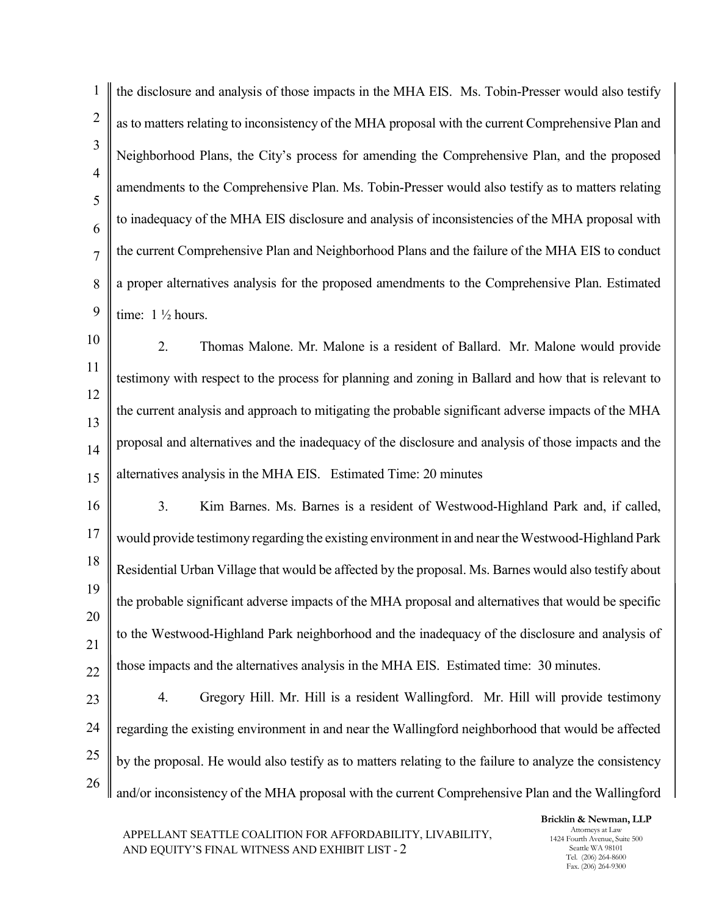| 1                   | the disclosure and analysis of those impacts in the MHA EIS. Ms. Tobin-Presser would also testify       |
|---------------------|---------------------------------------------------------------------------------------------------------|
| $\overline{2}$      | as to matters relating to inconsistency of the MHA proposal with the current Comprehensive Plan and     |
| 3                   | Neighborhood Plans, the City's process for amending the Comprehensive Plan, and the proposed            |
| $\overline{4}$<br>5 | amendments to the Comprehensive Plan. Ms. Tobin-Presser would also testify as to matters relating       |
| 6                   | to inadequacy of the MHA EIS disclosure and analysis of inconsistencies of the MHA proposal with        |
| $\overline{7}$      | the current Comprehensive Plan and Neighborhood Plans and the failure of the MHA EIS to conduct         |
| 8                   | a proper alternatives analysis for the proposed amendments to the Comprehensive Plan. Estimated         |
| 9                   | time: $1\frac{1}{2}$ hours.                                                                             |
| 10                  | 2.<br>Thomas Malone. Mr. Malone is a resident of Ballard. Mr. Malone would provide                      |
| 11                  | testimony with respect to the process for planning and zoning in Ballard and how that is relevant to    |
| 12<br>13            | the current analysis and approach to mitigating the probable significant adverse impacts of the MHA     |
| 14                  | proposal and alternatives and the inadequacy of the disclosure and analysis of those impacts and the    |
| 15                  | alternatives analysis in the MHA EIS. Estimated Time: 20 minutes                                        |
| 16                  | Kim Barnes. Ms. Barnes is a resident of Westwood-Highland Park and, if called,<br>3.                    |
| 17                  | would provide testimony regarding the existing environment in and near the Westwood-Highland Park       |
| 18                  | Residential Urban Village that would be affected by the proposal. Ms. Barnes would also testify about   |
| 19                  | the probable significant adverse impacts of the MHA proposal and alternatives that would be specific    |
| 20<br>21            | to the Westwood-Highland Park neighborhood and the inadequacy of the disclosure and analysis of         |
| 22                  | those impacts and the alternatives analysis in the MHA EIS. Estimated time: 30 minutes.                 |
| 23                  | Gregory Hill. Mr. Hill is a resident Wallingford. Mr. Hill will provide testimony<br>4.                 |
| 24                  | regarding the existing environment in and near the Wallingford neighborhood that would be affected      |
| 25                  | by the proposal. He would also testify as to matters relating to the failure to analyze the consistency |
| 26                  | and/or inconsistency of the MHA proposal with the current Comprehensive Plan and the Wallingford        |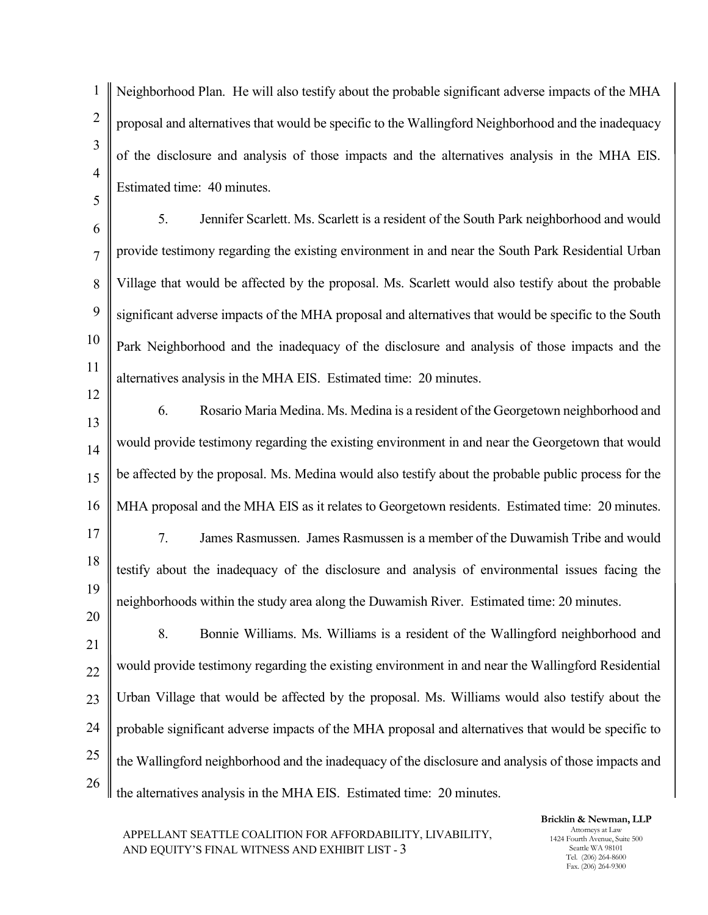1 2 3 4 5 6 7 8 9 10 11 12 13 14 15 16 17 18 19 20 21 22 23 24 25 26 Neighborhood Plan. He will also testify about the probable significant adverse impacts of the MHA proposal and alternatives that would be specific to the Wallingford Neighborhood and the inadequacy of the disclosure and analysis of those impacts and the alternatives analysis in the MHA EIS. Estimated time: 40 minutes. 5. Jennifer Scarlett. Ms. Scarlett is a resident of the South Park neighborhood and would provide testimony regarding the existing environment in and near the South Park Residential Urban Village that would be affected by the proposal. Ms. Scarlett would also testify about the probable significant adverse impacts of the MHA proposal and alternatives that would be specific to the South Park Neighborhood and the inadequacy of the disclosure and analysis of those impacts and the alternatives analysis in the MHA EIS. Estimated time: 20 minutes. 6. Rosario Maria Medina. Ms. Medina is a resident of the Georgetown neighborhood and would provide testimony regarding the existing environment in and near the Georgetown that would be affected by the proposal. Ms. Medina would also testify about the probable public process for the MHA proposal and the MHA EIS as it relates to Georgetown residents. Estimated time: 20 minutes. 7. James Rasmussen. James Rasmussen is a member of the Duwamish Tribe and would testify about the inadequacy of the disclosure and analysis of environmental issues facing the neighborhoods within the study area along the Duwamish River. Estimated time: 20 minutes. 8. Bonnie Williams. Ms. Williams is a resident of the Wallingford neighborhood and would provide testimony regarding the existing environment in and near the Wallingford Residential Urban Village that would be affected by the proposal. Ms. Williams would also testify about the probable significant adverse impacts of the MHA proposal and alternatives that would be specific to the Wallingford neighborhood and the inadequacy of the disclosure and analysis of those impacts and the alternatives analysis in the MHA EIS. Estimated time: 20 minutes.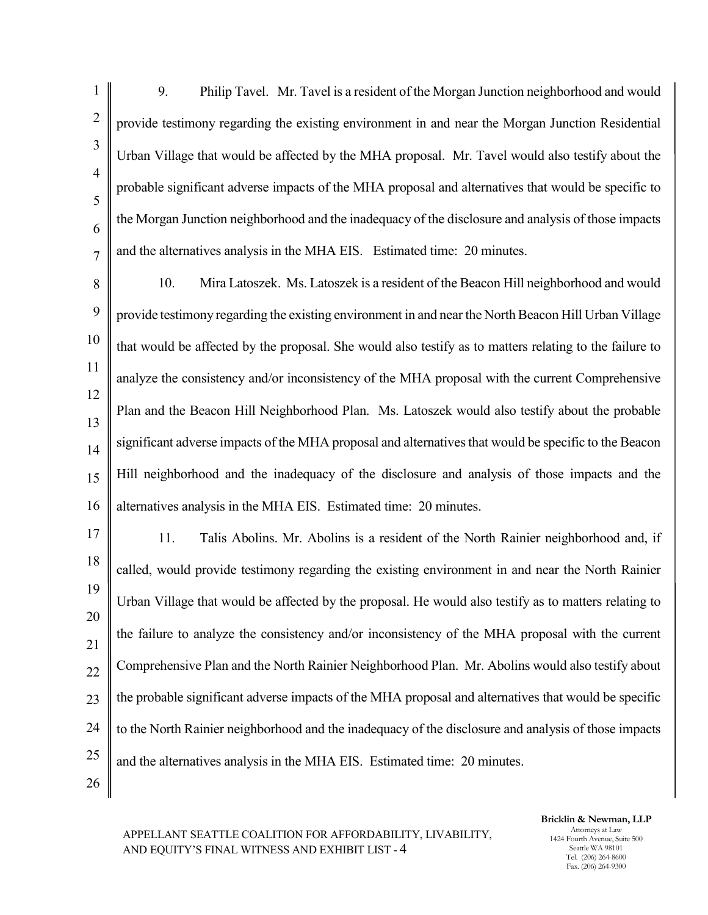1 2 3 4 5 6 7 8 9 10 11 12 13 14 15 16 17 18 19 20 21 22 23 24 25 26 9. Philip Tavel. Mr. Tavel is a resident of the Morgan Junction neighborhood and would provide testimony regarding the existing environment in and near the Morgan Junction Residential Urban Village that would be affected by the MHA proposal. Mr. Tavel would also testify about the probable significant adverse impacts of the MHA proposal and alternatives that would be specific to the Morgan Junction neighborhood and the inadequacy of the disclosure and analysis of those impacts and the alternatives analysis in the MHA EIS. Estimated time: 20 minutes. 10. Mira Latoszek. Ms. Latoszek is a resident of the Beacon Hill neighborhood and would provide testimony regarding the existing environment in and near the North Beacon Hill Urban Village that would be affected by the proposal. She would also testify as to matters relating to the failure to analyze the consistency and/or inconsistency of the MHA proposal with the current Comprehensive Plan and the Beacon Hill Neighborhood Plan. Ms. Latoszek would also testify about the probable significant adverse impacts of the MHA proposal and alternatives that would be specific to the Beacon Hill neighborhood and the inadequacy of the disclosure and analysis of those impacts and the alternatives analysis in the MHA EIS. Estimated time: 20 minutes. 11. Talis Abolins. Mr. Abolins is a resident of the North Rainier neighborhood and, if called, would provide testimony regarding the existing environment in and near the North Rainier Urban Village that would be affected by the proposal. He would also testify as to matters relating to the failure to analyze the consistency and/or inconsistency of the MHA proposal with the current Comprehensive Plan and the North Rainier Neighborhood Plan. Mr. Abolins would also testify about the probable significant adverse impacts of the MHA proposal and alternatives that would be specific to the North Rainier neighborhood and the inadequacy of the disclosure and analysis of those impacts and the alternatives analysis in the MHA EIS. Estimated time: 20 minutes.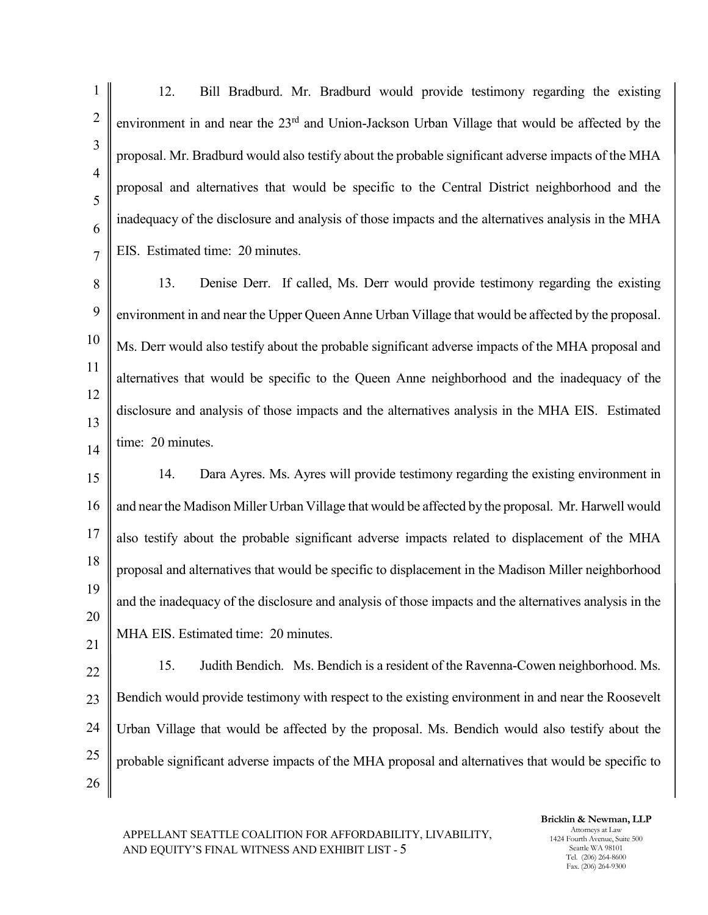1 2 3 4 5 6 7 8 9 10 11 12 13 14 15 16 17 18 19 20 21 22 23 24 25 26 12. Bill Bradburd. Mr. Bradburd would provide testimony regarding the existing environment in and near the 23<sup>rd</sup> and Union-Jackson Urban Village that would be affected by the proposal. Mr. Bradburd would also testify about the probable significant adverse impacts of the MHA proposal and alternatives that would be specific to the Central District neighborhood and the inadequacy of the disclosure and analysis of those impacts and the alternatives analysis in the MHA EIS. Estimated time: 20 minutes. 13. Denise Derr. If called, Ms. Derr would provide testimony regarding the existing environment in and near the Upper Queen Anne Urban Village that would be affected by the proposal. Ms. Derr would also testify about the probable significant adverse impacts of the MHA proposal and alternatives that would be specific to the Queen Anne neighborhood and the inadequacy of the disclosure and analysis of those impacts and the alternatives analysis in the MHA EIS. Estimated time: 20 minutes. 14. Dara Ayres. Ms. Ayres will provide testimony regarding the existing environment in and near the Madison Miller Urban Village that would be affected by the proposal. Mr. Harwell would also testify about the probable significant adverse impacts related to displacement of the MHA proposal and alternatives that would be specific to displacement in the Madison Miller neighborhood and the inadequacy of the disclosure and analysis of those impacts and the alternatives analysis in the MHA EIS. Estimated time: 20 minutes. 15. Judith Bendich. Ms. Bendich is a resident of the Ravenna-Cowen neighborhood. Ms. Bendich would provide testimony with respect to the existing environment in and near the Roosevelt Urban Village that would be affected by the proposal. Ms. Bendich would also testify about the probable significant adverse impacts of the MHA proposal and alternatives that would be specific to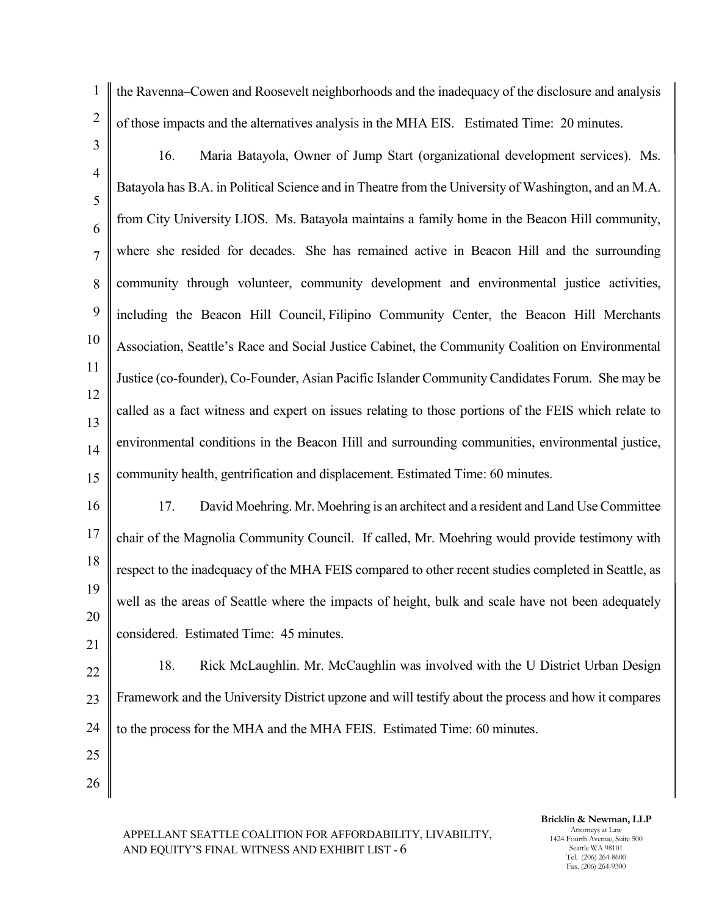2 3

1

the Ravenna–Cowen and Roosevelt neighborhoods and the inadequacy of the disclosure and analysis of those impacts and the alternatives analysis in the MHA EIS. Estimated Time: 20 minutes.

4 5 6 7 8 9 10 11 12 13 14 15 16. Maria Batayola, Owner of Jump Start (organizational development services). Ms. Batayola has B.A. in Political Science and in Theatre from the University of Washington, and an M.A. from City University LIOS. Ms. Batayola maintains a family home in the Beacon Hill community, where she resided for decades. She has remained active in Beacon Hill and the surrounding community through volunteer, community development and environmental justice activities, including the Beacon Hill Council, Filipino Community Center, the Beacon Hill Merchants Association, Seattle's Race and Social Justice Cabinet, the Community Coalition on Environmental Justice (co-founder), Co-Founder, Asian Pacific Islander Community Candidates Forum. She may be called as a fact witness and expert on issues relating to those portions of the FEIS which relate to environmental conditions in the Beacon Hill and surrounding communities, environmental justice, community health, gentrification and displacement. Estimated Time: 60 minutes.

16 17 18 19 20 21 17. David Moehring. Mr. Moehring is an architect and a resident and Land Use Committee chair of the Magnolia Community Council. If called, Mr. Moehring would provide testimony with respect to the inadequacy of the MHA FEIS compared to other recent studies completed in Seattle, as well as the areas of Seattle where the impacts of height, bulk and scale have not been adequately considered. Estimated Time: 45 minutes.

22 23 24 18. Rick McLaughlin. Mr. McCaughlin was involved with the U District Urban Design Framework and the University District upzone and will testify about the process and how it compares to the process for the MHA and the MHA FEIS. Estimated Time: 60 minutes.

25

26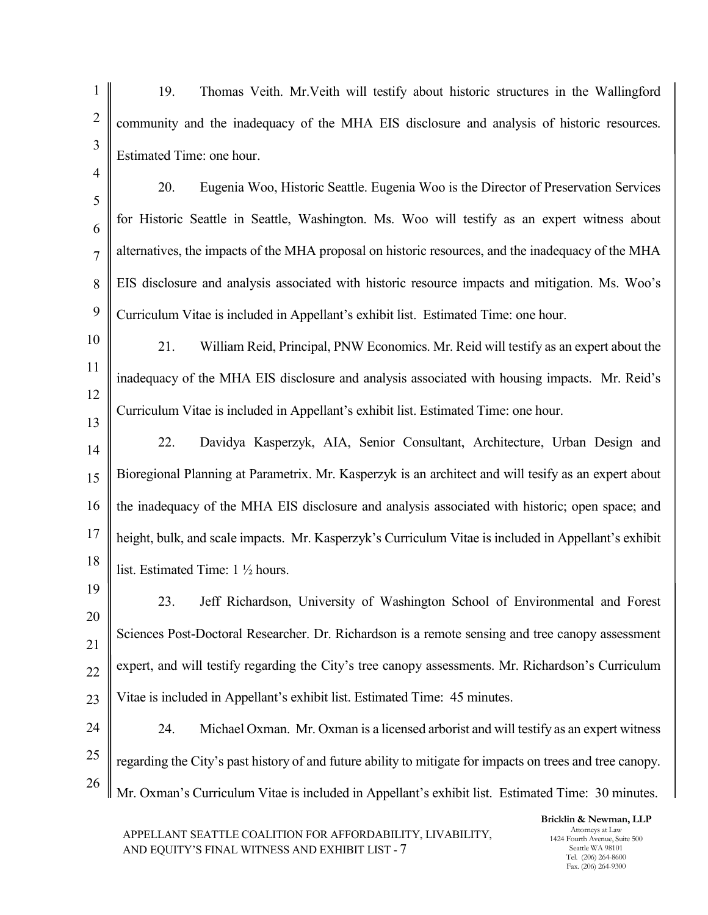- 1 2 3 4 19. Thomas Veith. Mr.Veith will testify about historic structures in the Wallingford community and the inadequacy of the MHA EIS disclosure and analysis of historic resources. Estimated Time: one hour.
- 5 6 7 8 9 20. Eugenia Woo, Historic Seattle. Eugenia Woo is the Director of Preservation Services for Historic Seattle in Seattle, Washington. Ms. Woo will testify as an expert witness about alternatives, the impacts of the MHA proposal on historic resources, and the inadequacy of the MHA EIS disclosure and analysis associated with historic resource impacts and mitigation. Ms. Woo's Curriculum Vitae is included in Appellant's exhibit list. Estimated Time: one hour.
- 10 11 12 13 21. William Reid, Principal, PNW Economics. Mr. Reid will testify as an expert about the inadequacy of the MHA EIS disclosure and analysis associated with housing impacts. Mr. Reid's Curriculum Vitae is included in Appellant's exhibit list. Estimated Time: one hour.
- 14 15 16 17 18 22. Davidya Kasperzyk, AIA, Senior Consultant, Architecture, Urban Design and Bioregional Planning at Parametrix. Mr. Kasperzyk is an architect and will tesify as an expert about the inadequacy of the MHA EIS disclosure and analysis associated with historic; open space; and height, bulk, and scale impacts. Mr. Kasperzyk's Curriculum Vitae is included in Appellant's exhibit list. Estimated Time: 1 ½ hours.
- 19 20 21 22 23 23. Jeff Richardson, University of Washington School of Environmental and Forest Sciences Post-Doctoral Researcher. Dr. Richardson is a remote sensing and tree canopy assessment expert, and will testify regarding the City's tree canopy assessments. Mr. Richardson's Curriculum Vitae is included in Appellant's exhibit list. Estimated Time: 45 minutes.
- 24 25 26 24. Michael Oxman. Mr. Oxman is a licensed arborist and will testify as an expert witness regarding the City's past history of and future ability to mitigate for impacts on trees and tree canopy. Mr. Oxman's Curriculum Vitae is included in Appellant's exhibit list. Estimated Time: 30 minutes.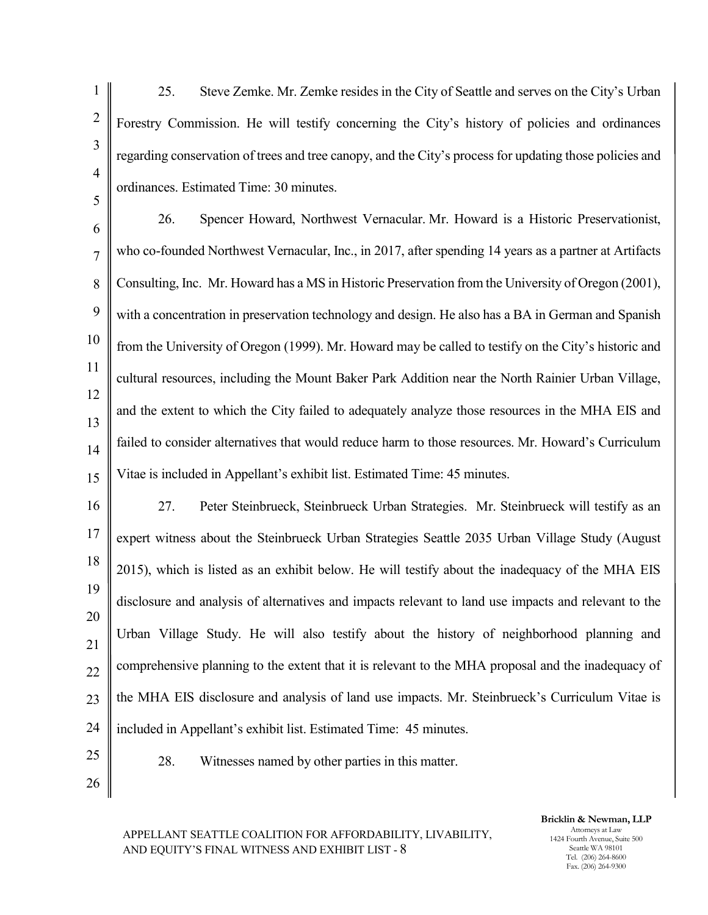1 2 3 4 5 6 7 8 9 10 11 12 13 14 15 16 17 18 19 20 21 22 23 24 25 26 25. Steve Zemke. Mr. Zemke resides in the City of Seattle and serves on the City's Urban Forestry Commission. He will testify concerning the City's history of policies and ordinances regarding conservation of trees and tree canopy, and the City's process for updating those policies and ordinances. Estimated Time: 30 minutes. 26. Spencer Howard, Northwest Vernacular. Mr. Howard is a Historic Preservationist, who co-founded Northwest Vernacular, Inc., in 2017, after spending 14 years as a partner at Artifacts Consulting, Inc. Mr. Howard has a MS in Historic Preservation from the University of Oregon (2001), with a concentration in preservation technology and design. He also has a BA in German and Spanish from the University of Oregon (1999). Mr. Howard may be called to testify on the City's historic and cultural resources, including the Mount Baker Park Addition near the North Rainier Urban Village, and the extent to which the City failed to adequately analyze those resources in the MHA EIS and failed to consider alternatives that would reduce harm to those resources. Mr. Howard's Curriculum Vitae is included in Appellant's exhibit list. Estimated Time: 45 minutes. 27. Peter Steinbrueck, Steinbrueck Urban Strategies. Mr. Steinbrueck will testify as an expert witness about the Steinbrueck Urban Strategies Seattle 2035 Urban Village Study (August 2015), which is listed as an exhibit below. He will testify about the inadequacy of the MHA EIS disclosure and analysis of alternatives and impacts relevant to land use impacts and relevant to the Urban Village Study. He will also testify about the history of neighborhood planning and comprehensive planning to the extent that it is relevant to the MHA proposal and the inadequacy of the MHA EIS disclosure and analysis of land use impacts. Mr. Steinbrueck's Curriculum Vitae is included in Appellant's exhibit list. Estimated Time: 45 minutes. 28. Witnesses named by other parties in this matter.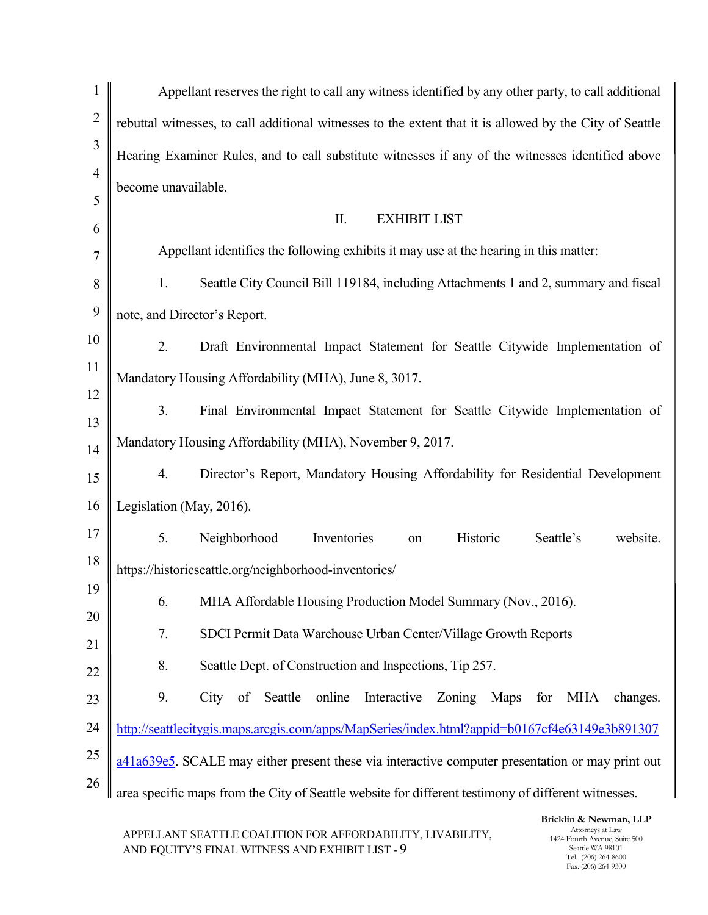| $\mathbf{1}$   | Appellant reserves the right to call any witness identified by any other party, to call additional       |  |  |  |  |
|----------------|----------------------------------------------------------------------------------------------------------|--|--|--|--|
| $\overline{2}$ | rebuttal witnesses, to call additional witnesses to the extent that it is allowed by the City of Seattle |  |  |  |  |
| 3              | Hearing Examiner Rules, and to call substitute witnesses if any of the witnesses identified above        |  |  |  |  |
| $\overline{4}$ | become unavailable.                                                                                      |  |  |  |  |
| 5<br>6         | II.<br><b>EXHIBIT LIST</b>                                                                               |  |  |  |  |
| 7              | Appellant identifies the following exhibits it may use at the hearing in this matter:                    |  |  |  |  |
| 8              | Seattle City Council Bill 119184, including Attachments 1 and 2, summary and fiscal<br>1.                |  |  |  |  |
| 9              | note, and Director's Report.                                                                             |  |  |  |  |
| 10             | 2.<br>Draft Environmental Impact Statement for Seattle Citywide Implementation of                        |  |  |  |  |
| 11             | Mandatory Housing Affordability (MHA), June 8, 3017.                                                     |  |  |  |  |
| 12             |                                                                                                          |  |  |  |  |
| 13             | 3.<br>Final Environmental Impact Statement for Seattle Citywide Implementation of                        |  |  |  |  |
| 14             | Mandatory Housing Affordability (MHA), November 9, 2017.                                                 |  |  |  |  |
| 15             | Director's Report, Mandatory Housing Affordability for Residential Development<br>4.                     |  |  |  |  |
| 16             | Legislation (May, 2016).                                                                                 |  |  |  |  |
| 17             | 5.<br>Neighborhood<br>Historic<br>Inventories<br>Seattle's<br>website.<br>on                             |  |  |  |  |
| 18             | https://historicseattle.org/neighborhood-inventories/                                                    |  |  |  |  |
| 19             | 6.<br>MHA Affordable Housing Production Model Summary (Nov., 2016).                                      |  |  |  |  |
| 20             | 7.<br>SDCI Permit Data Warehouse Urban Center/Village Growth Reports                                     |  |  |  |  |
| 21             | 8.<br>Seattle Dept. of Construction and Inspections, Tip 257.                                            |  |  |  |  |
| 22             |                                                                                                          |  |  |  |  |
| 23             | 9.<br>of Seattle<br>online<br>Interactive<br>City<br>Zoning<br>Maps<br>MHA<br>changes.<br>for            |  |  |  |  |
| 24             | http://seattlecitygis.maps.arcgis.com/apps/MapSeries/index.html?appid=b0167cf4e63149e3b891307            |  |  |  |  |
| 25             | $a41a639e5$ . SCALE may either present these via interactive computer presentation or may print out      |  |  |  |  |
| 26             | area specific maps from the City of Seattle website for different testimony of different witnesses.      |  |  |  |  |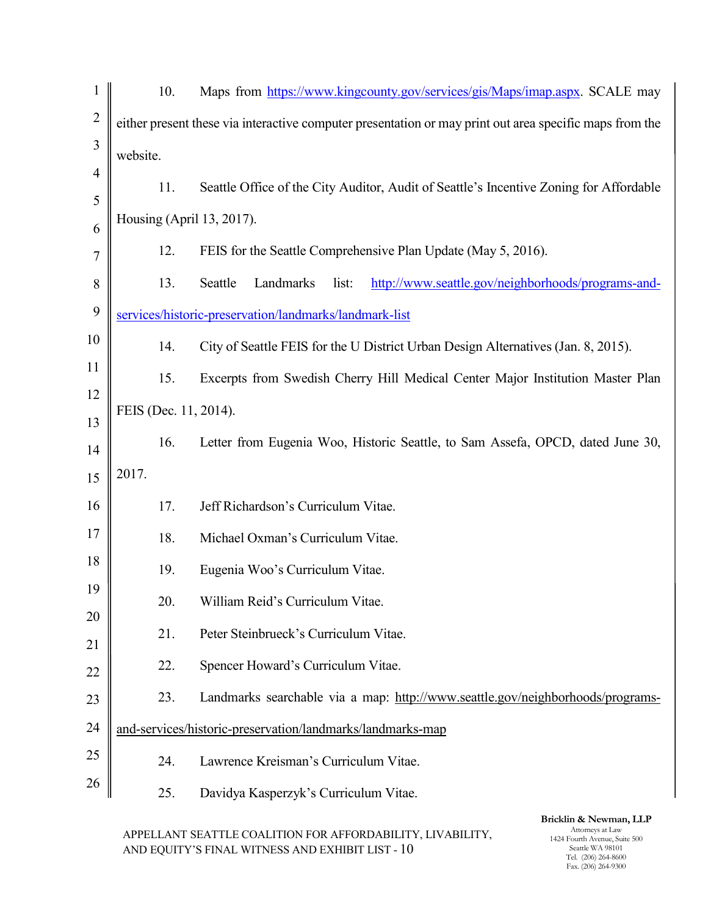| $\mathbf{1}$   | 10.                       | Maps from https://www.kingcounty.gov/services/gis/Maps/imap.aspx. SCALE may                             |  |  |  |  |
|----------------|---------------------------|---------------------------------------------------------------------------------------------------------|--|--|--|--|
| $\overline{2}$ |                           | either present these via interactive computer presentation or may print out area specific maps from the |  |  |  |  |
| 3              | website.                  |                                                                                                         |  |  |  |  |
| $\overline{4}$ | 11.                       | Seattle Office of the City Auditor, Audit of Seattle's Incentive Zoning for Affordable                  |  |  |  |  |
| 5              | Housing (April 13, 2017). |                                                                                                         |  |  |  |  |
| 6<br>7         | 12.                       | FEIS for the Seattle Comprehensive Plan Update (May 5, 2016).                                           |  |  |  |  |
| 8              | 13.                       | Landmarks<br>list:<br>http://www.seattle.gov/neighborhoods/programs-and-<br>Seattle                     |  |  |  |  |
| 9              |                           | services/historic-preservation/landmarks/landmark-list                                                  |  |  |  |  |
| 10             | 14.                       | City of Seattle FEIS for the U District Urban Design Alternatives (Jan. 8, 2015).                       |  |  |  |  |
| 11             | 15.                       | Excerpts from Swedish Cherry Hill Medical Center Major Institution Master Plan                          |  |  |  |  |
| 12             |                           |                                                                                                         |  |  |  |  |
| 13             | FEIS (Dec. 11, 2014).     |                                                                                                         |  |  |  |  |
| 14             | 16.                       | Letter from Eugenia Woo, Historic Seattle, to Sam Assefa, OPCD, dated June 30,                          |  |  |  |  |
| 15             | 2017.                     |                                                                                                         |  |  |  |  |
| 16             | 17.                       | Jeff Richardson's Curriculum Vitae.                                                                     |  |  |  |  |
| 17             | 18.                       | Michael Oxman's Curriculum Vitae.                                                                       |  |  |  |  |
| 18             | 19.                       | Eugenia Woo's Curriculum Vitae.                                                                         |  |  |  |  |
| 19             | 20.                       | William Reid's Curriculum Vitae.                                                                        |  |  |  |  |
| 20             | 21.                       | Peter Steinbrueck's Curriculum Vitae.                                                                   |  |  |  |  |
| 21<br>22       | 22.                       | Spencer Howard's Curriculum Vitae.                                                                      |  |  |  |  |
| 23             | 23.                       | Landmarks searchable via a map: http://www.seattle.gov/neighborhoods/programs-                          |  |  |  |  |
| 24             |                           | and-services/historic-preservation/landmarks/landmarks-map                                              |  |  |  |  |
| 25             | 24.                       | Lawrence Kreisman's Curriculum Vitae.                                                                   |  |  |  |  |
| 26             | 25.                       | Davidya Kasperzyk's Curriculum Vitae.                                                                   |  |  |  |  |
|                |                           |                                                                                                         |  |  |  |  |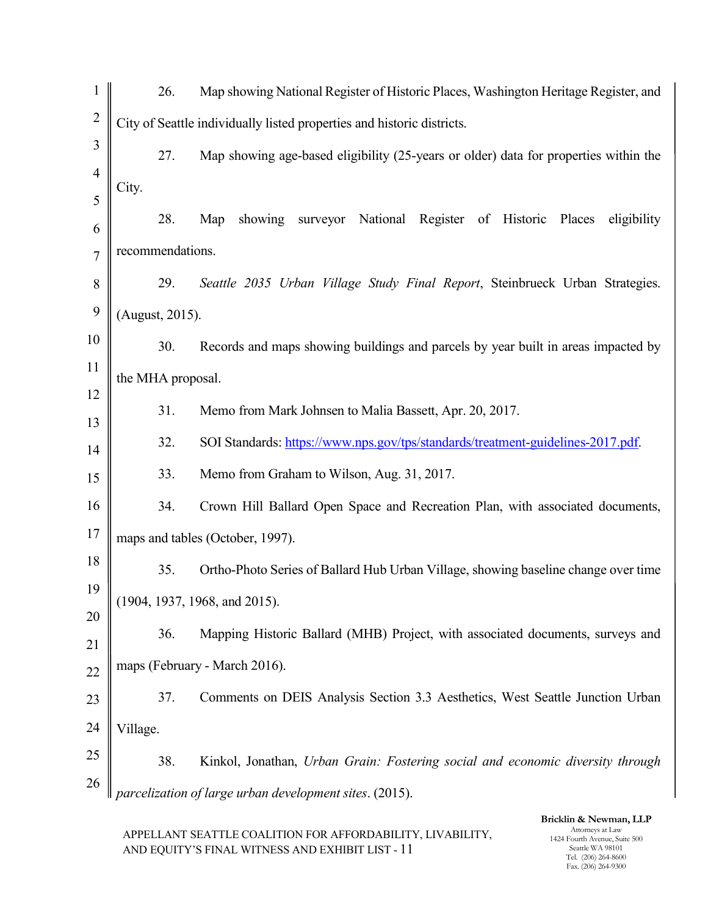| $\mathbf{1}$   |                                                                        | 26. | Map showing National Register of Historic Places, Washington Heritage Register, and  |  |  |  |
|----------------|------------------------------------------------------------------------|-----|--------------------------------------------------------------------------------------|--|--|--|
| $\overline{2}$ | City of Seattle individually listed properties and historic districts. |     |                                                                                      |  |  |  |
| 3              |                                                                        | 27. | Map showing age-based eligibility (25-years or older) data for properties within the |  |  |  |
| $\overline{4}$ | City.                                                                  |     |                                                                                      |  |  |  |
| 5              |                                                                        | 28. | showing<br>surveyor National Register of Historic<br>Map<br>Places<br>eligibility    |  |  |  |
| 6<br>7         | recommendations.                                                       |     |                                                                                      |  |  |  |
| 8              |                                                                        | 29. | Seattle 2035 Urban Village Study Final Report, Steinbrueck Urban Strategies.         |  |  |  |
| 9              | (August, 2015).                                                        |     |                                                                                      |  |  |  |
| 10             |                                                                        |     |                                                                                      |  |  |  |
| 11             |                                                                        | 30. | Records and maps showing buildings and parcels by year built in areas impacted by    |  |  |  |
| 12             | the MHA proposal.                                                      |     |                                                                                      |  |  |  |
| 13             |                                                                        | 31. | Memo from Mark Johnsen to Malia Bassett, Apr. 20, 2017.                              |  |  |  |
| 14             |                                                                        | 32. | SOI Standards: https://www.nps.gov/tps/standards/treatment-guidelines-2017.pdf.      |  |  |  |
| 15             |                                                                        | 33. | Memo from Graham to Wilson, Aug. 31, 2017.                                           |  |  |  |
| 16             |                                                                        | 34. | Crown Hill Ballard Open Space and Recreation Plan, with associated documents,        |  |  |  |
| 17             |                                                                        |     | maps and tables (October, 1997).                                                     |  |  |  |
| 18             |                                                                        | 35. | Ortho-Photo Series of Ballard Hub Urban Village, showing baseline change over time   |  |  |  |
| 19             |                                                                        |     | (1904, 1937, 1968, and 2015).                                                        |  |  |  |
| 20             |                                                                        | 36. | Mapping Historic Ballard (MHB) Project, with associated documents, surveys and       |  |  |  |
| 21             |                                                                        |     | maps (February - March 2016).                                                        |  |  |  |
| 22<br>23       |                                                                        | 37. | Comments on DEIS Analysis Section 3.3 Aesthetics, West Seattle Junction Urban        |  |  |  |
| 24             | Village.                                                               |     |                                                                                      |  |  |  |
| 25             |                                                                        | 38. | Kinkol, Jonathan, Urban Grain: Fostering social and economic diversity through       |  |  |  |
| 26             |                                                                        |     | parcelization of large urban development sites. (2015).                              |  |  |  |
|                |                                                                        |     | Bricklin & Newman, LLP                                                               |  |  |  |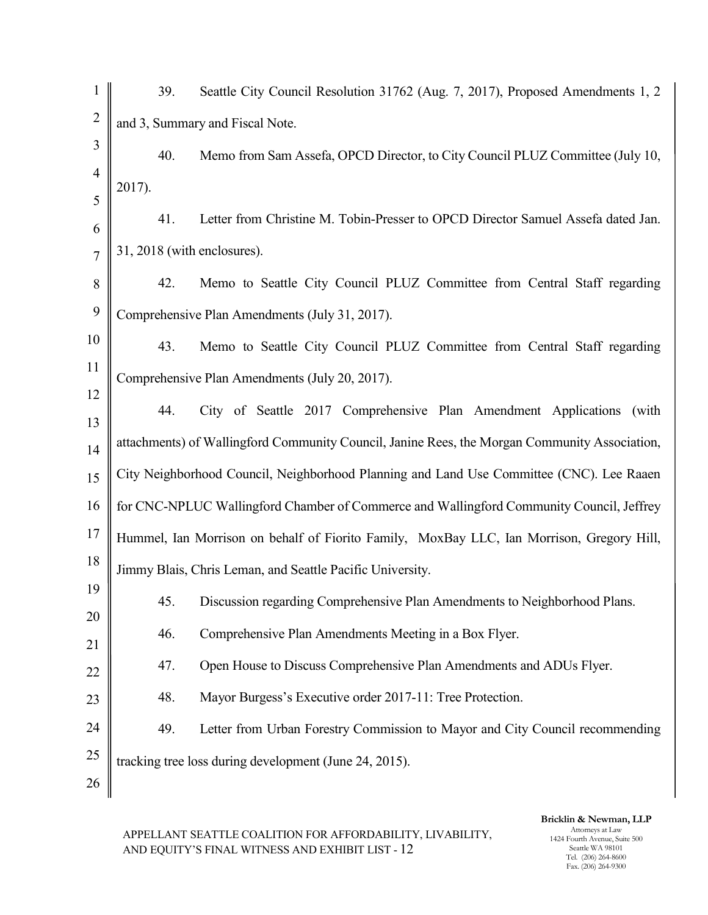| $\mathbf{1}$   | 39.<br>Seattle City Council Resolution 31762 (Aug. 7, 2017), Proposed Amendments 1, 2         |  |  |  |  |  |
|----------------|-----------------------------------------------------------------------------------------------|--|--|--|--|--|
| $\overline{2}$ | and 3, Summary and Fiscal Note.                                                               |  |  |  |  |  |
| 3              | 40.<br>Memo from Sam Assefa, OPCD Director, to City Council PLUZ Committee (July 10,          |  |  |  |  |  |
| $\overline{4}$ | 2017).                                                                                        |  |  |  |  |  |
| 5<br>6         | Letter from Christine M. Tobin-Presser to OPCD Director Samuel Assefa dated Jan.<br>41.       |  |  |  |  |  |
| $\overline{7}$ | 31, 2018 (with enclosures).                                                                   |  |  |  |  |  |
| 8              | Memo to Seattle City Council PLUZ Committee from Central Staff regarding<br>42.               |  |  |  |  |  |
| 9              | Comprehensive Plan Amendments (July 31, 2017).                                                |  |  |  |  |  |
| 10             | 43.<br>Memo to Seattle City Council PLUZ Committee from Central Staff regarding               |  |  |  |  |  |
| 11             | Comprehensive Plan Amendments (July 20, 2017).                                                |  |  |  |  |  |
| 12             | City of Seattle 2017 Comprehensive Plan Amendment Applications (with<br>44.                   |  |  |  |  |  |
| 13             |                                                                                               |  |  |  |  |  |
| 14             | attachments) of Wallingford Community Council, Janine Rees, the Morgan Community Association, |  |  |  |  |  |
| 15             | City Neighborhood Council, Neighborhood Planning and Land Use Committee (CNC). Lee Raaen      |  |  |  |  |  |
| 16             | for CNC-NPLUC Wallingford Chamber of Commerce and Wallingford Community Council, Jeffrey      |  |  |  |  |  |
| 17             | Hummel, Ian Morrison on behalf of Fiorito Family, MoxBay LLC, Ian Morrison, Gregory Hill,     |  |  |  |  |  |
| 18             | Jimmy Blais, Chris Leman, and Seattle Pacific University.                                     |  |  |  |  |  |
| 19             | Discussion regarding Comprehensive Plan Amendments to Neighborhood Plans.<br>45.              |  |  |  |  |  |
| 20<br>21       | 46.<br>Comprehensive Plan Amendments Meeting in a Box Flyer.                                  |  |  |  |  |  |
| 22             | Open House to Discuss Comprehensive Plan Amendments and ADUs Flyer.<br>47.                    |  |  |  |  |  |
| 23             | Mayor Burgess's Executive order 2017-11: Tree Protection.<br>48.                              |  |  |  |  |  |
| 24             | Letter from Urban Forestry Commission to Mayor and City Council recommending<br>49.           |  |  |  |  |  |
| 25             | tracking tree loss during development (June 24, 2015).                                        |  |  |  |  |  |
| 26             |                                                                                               |  |  |  |  |  |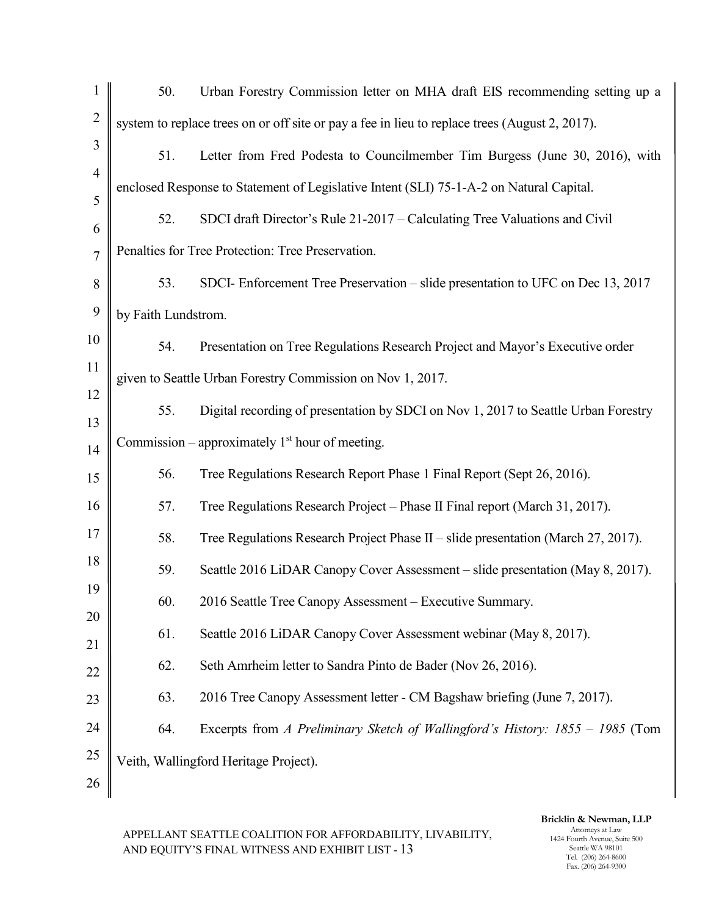| $\mathbf{1}$        | 50.                                                        | Urban Forestry Commission letter on MHA draft EIS recommending setting up a                    |  |  |  |  |
|---------------------|------------------------------------------------------------|------------------------------------------------------------------------------------------------|--|--|--|--|
| $\overline{2}$      |                                                            | system to replace trees on or off site or pay a fee in lieu to replace trees (August 2, 2017). |  |  |  |  |
| 3                   | 51.                                                        | Letter from Fred Podesta to Councilmember Tim Burgess (June 30, 2016), with                    |  |  |  |  |
| $\overline{4}$<br>5 |                                                            | enclosed Response to Statement of Legislative Intent (SLI) 75-1-A-2 on Natural Capital.        |  |  |  |  |
| 6                   | 52.                                                        | SDCI draft Director's Rule 21-2017 – Calculating Tree Valuations and Civil                     |  |  |  |  |
| $\overline{7}$      |                                                            | Penalties for Tree Protection: Tree Preservation.                                              |  |  |  |  |
| $8\,$               | 53.                                                        | SDCI- Enforcement Tree Preservation – slide presentation to UFC on Dec 13, 2017                |  |  |  |  |
| 9                   | by Faith Lundstrom.                                        |                                                                                                |  |  |  |  |
| 10                  | 54.                                                        | Presentation on Tree Regulations Research Project and Mayor's Executive order                  |  |  |  |  |
| 11                  | given to Seattle Urban Forestry Commission on Nov 1, 2017. |                                                                                                |  |  |  |  |
| 12<br>13            | 55.                                                        | Digital recording of presentation by SDCI on Nov 1, 2017 to Seattle Urban Forestry             |  |  |  |  |
| 14                  |                                                            | Commission – approximately $1st$ hour of meeting.                                              |  |  |  |  |
| 15                  | 56.                                                        | Tree Regulations Research Report Phase 1 Final Report (Sept 26, 2016).                         |  |  |  |  |
| 16                  | 57.                                                        | Tree Regulations Research Project – Phase II Final report (March 31, 2017).                    |  |  |  |  |
| 17                  | 58.                                                        | Tree Regulations Research Project Phase II – slide presentation (March 27, 2017).              |  |  |  |  |
| 18                  | 59.                                                        | Seattle 2016 LiDAR Canopy Cover Assessment – slide presentation (May 8, 2017).                 |  |  |  |  |
| 19                  | 60.                                                        | 2016 Seattle Tree Canopy Assessment – Executive Summary.                                       |  |  |  |  |
| 20<br>21            | 61.                                                        | Seattle 2016 LiDAR Canopy Cover Assessment webinar (May 8, 2017).                              |  |  |  |  |
| 22                  | 62.                                                        | Seth Amrheim letter to Sandra Pinto de Bader (Nov 26, 2016).                                   |  |  |  |  |
| 23                  | 63.                                                        | 2016 Tree Canopy Assessment letter - CM Bagshaw briefing (June 7, 2017).                       |  |  |  |  |
| 24                  | 64.                                                        | Excerpts from A Preliminary Sketch of Wallingford's History: 1855 - 1985 (Tom                  |  |  |  |  |
| 25                  |                                                            | Veith, Wallingford Heritage Project).                                                          |  |  |  |  |
| 26                  |                                                            |                                                                                                |  |  |  |  |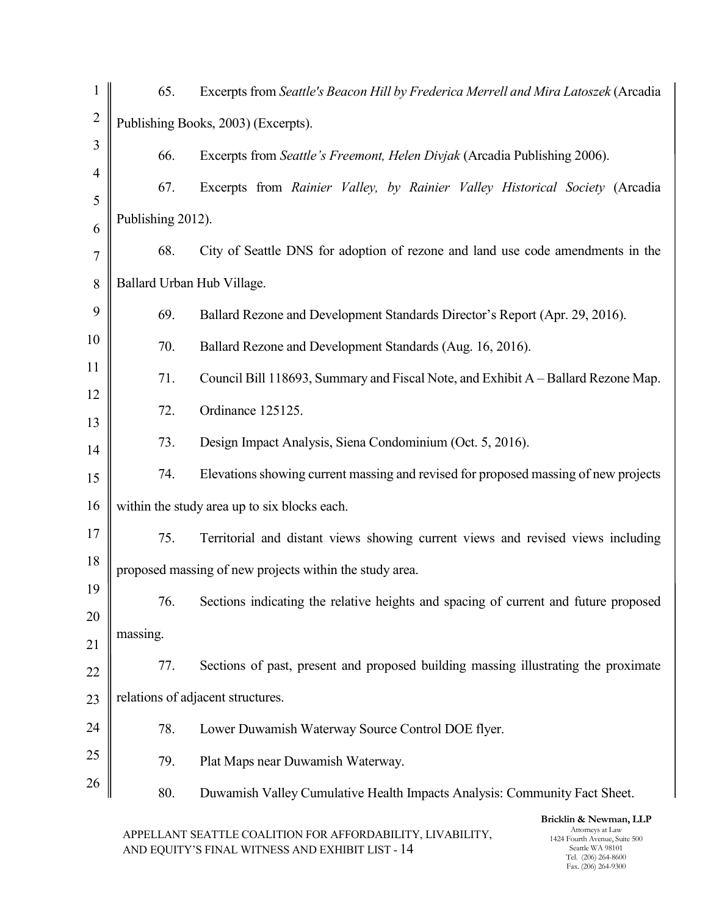| $\mathbf{1}$   | 65.                                 | Excerpts from Seattle's Beacon Hill by Frederica Merrell and Mira Latoszek (Arcadia |  |  |  |  |
|----------------|-------------------------------------|-------------------------------------------------------------------------------------|--|--|--|--|
| $\overline{c}$ | Publishing Books, 2003) (Excerpts). |                                                                                     |  |  |  |  |
| 3              | 66.                                 | Excerpts from Seattle's Freemont, Helen Divjak (Arcadia Publishing 2006).           |  |  |  |  |
| $\overline{4}$ | 67.                                 | Excerpts from Rainier Valley, by Rainier Valley Historical Society (Arcadia         |  |  |  |  |
| 5<br>6         | Publishing 2012).                   |                                                                                     |  |  |  |  |
| 7              | 68.                                 | City of Seattle DNS for adoption of rezone and land use code amendments in the      |  |  |  |  |
| 8              | Ballard Urban Hub Village.          |                                                                                     |  |  |  |  |
| 9              | 69.                                 | Ballard Rezone and Development Standards Director's Report (Apr. 29, 2016).         |  |  |  |  |
| 10             | 70.                                 | Ballard Rezone and Development Standards (Aug. 16, 2016).                           |  |  |  |  |
| 11             | 71.                                 | Council Bill 118693, Summary and Fiscal Note, and Exhibit A – Ballard Rezone Map.   |  |  |  |  |
| 12             | 72.                                 | Ordinance 125125.                                                                   |  |  |  |  |
| 13             | 73.                                 | Design Impact Analysis, Siena Condominium (Oct. 5, 2016).                           |  |  |  |  |
| 14<br>15       | 74.                                 | Elevations showing current massing and revised for proposed massing of new projects |  |  |  |  |
| 16             |                                     | within the study area up to six blocks each.                                        |  |  |  |  |
| 17             | 75.                                 | Territorial and distant views showing current views and revised views including     |  |  |  |  |
| 18             |                                     | proposed massing of new projects within the study area.                             |  |  |  |  |
| 19             |                                     |                                                                                     |  |  |  |  |
| 20             | 76.                                 | Sections indicating the relative heights and spacing of current and future proposed |  |  |  |  |
| 21             | massing.                            |                                                                                     |  |  |  |  |
| 22             | 77.                                 | Sections of past, present and proposed building massing illustrating the proximate  |  |  |  |  |
| 23             |                                     | relations of adjacent structures.                                                   |  |  |  |  |
| 24             | 78.                                 | Lower Duwamish Waterway Source Control DOE flyer.                                   |  |  |  |  |
| 25             | 79.                                 | Plat Maps near Duwamish Waterway.                                                   |  |  |  |  |
| 26             | 80.                                 | Duwamish Valley Cumulative Health Impacts Analysis: Community Fact Sheet.           |  |  |  |  |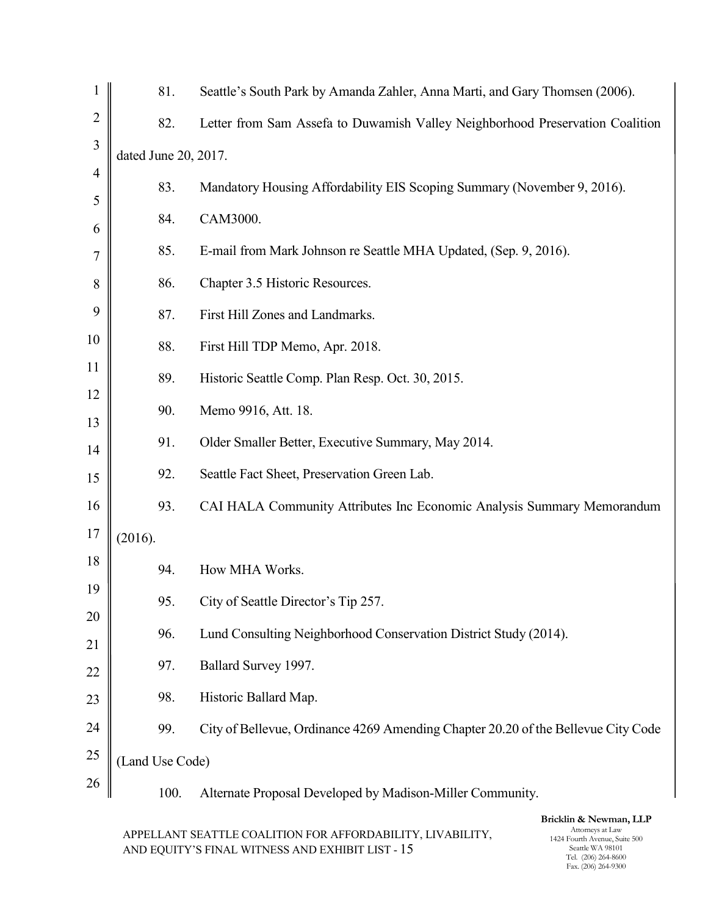| $\mathbf{1}$   | 81.                  | Seattle's South Park by Amanda Zahler, Anna Marti, and Gary Thomsen (2006).       |
|----------------|----------------------|-----------------------------------------------------------------------------------|
| $\overline{2}$ | 82.                  | Letter from Sam Assefa to Duwamish Valley Neighborhood Preservation Coalition     |
| 3              | dated June 20, 2017. |                                                                                   |
| $\overline{4}$ | 83.                  | Mandatory Housing Affordability EIS Scoping Summary (November 9, 2016).           |
| 5<br>6         | 84.                  | CAM3000.                                                                          |
| 7              | 85.                  | E-mail from Mark Johnson re Seattle MHA Updated, (Sep. 9, 2016).                  |
| 8              | 86.                  | Chapter 3.5 Historic Resources.                                                   |
| 9              | 87.                  | First Hill Zones and Landmarks.                                                   |
| 10             | 88.                  | First Hill TDP Memo, Apr. 2018.                                                   |
| 11             | 89.                  | Historic Seattle Comp. Plan Resp. Oct. 30, 2015.                                  |
| 12<br>13       | 90.                  | Memo 9916, Att. 18.                                                               |
| 14             | 91.                  | Older Smaller Better, Executive Summary, May 2014.                                |
| 15             | 92.                  | Seattle Fact Sheet, Preservation Green Lab.                                       |
| 16             | 93.                  | CAI HALA Community Attributes Inc Economic Analysis Summary Memorandum            |
| 17             | (2016).              |                                                                                   |
| 18             | 94.                  | How MHA Works.                                                                    |
| 19             | 95.                  | City of Seattle Director's Tip 257.                                               |
| 20<br>21       | 96.                  | Lund Consulting Neighborhood Conservation District Study (2014).                  |
| 22             | 97.                  | Ballard Survey 1997.                                                              |
| 23             | 98.                  | Historic Ballard Map.                                                             |
| 24             | 99.                  | City of Bellevue, Ordinance 4269 Amending Chapter 20.20 of the Bellevue City Code |
| 25             | (Land Use Code)      |                                                                                   |
| 26             | 100.                 | Alternate Proposal Developed by Madison-Miller Community.                         |
|                |                      |                                                                                   |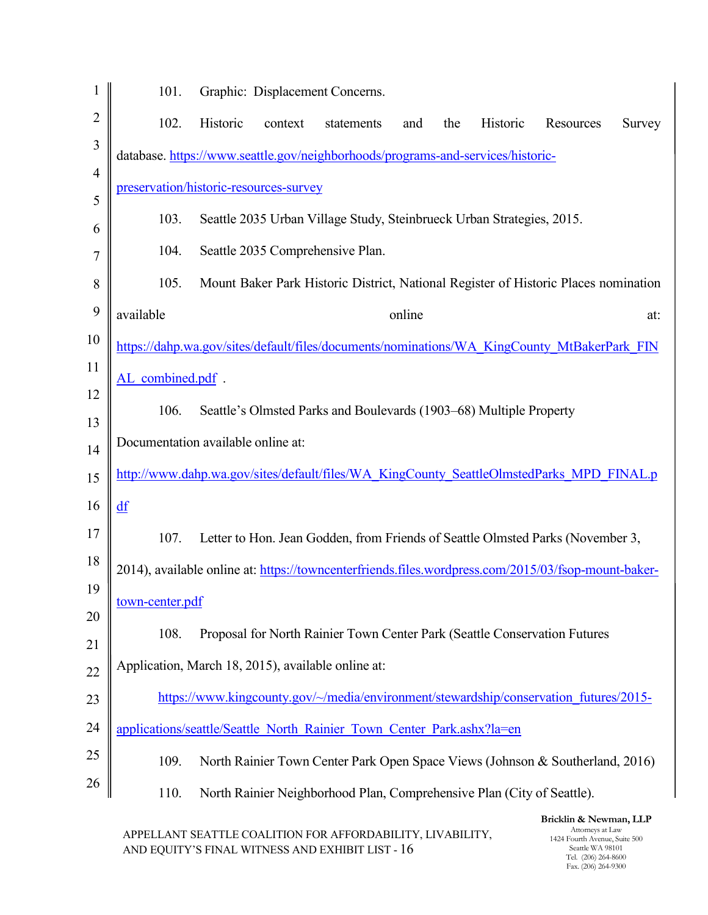| $\mathbf 1$    | 101.                                               |          |         | Graphic: Displacement Concerns.                                                                     |        |     |          |                        |        |
|----------------|----------------------------------------------------|----------|---------|-----------------------------------------------------------------------------------------------------|--------|-----|----------|------------------------|--------|
| $\overline{2}$ | 102.                                               | Historic | context | statements                                                                                          | and    | the | Historic | Resources              | Survey |
| 3              |                                                    |          |         | database.https://www.seattle.gov/neighborhoods/programs-and-services/historic-                      |        |     |          |                        |        |
| $\overline{4}$ | preservation/historic-resources-survey             |          |         |                                                                                                     |        |     |          |                        |        |
| 5<br>6         | 103.                                               |          |         | Seattle 2035 Urban Village Study, Steinbrueck Urban Strategies, 2015.                               |        |     |          |                        |        |
| 7              | 104.                                               |          |         | Seattle 2035 Comprehensive Plan.                                                                    |        |     |          |                        |        |
| 8              | 105.                                               |          |         | Mount Baker Park Historic District, National Register of Historic Places nomination                 |        |     |          |                        |        |
| 9              | available                                          |          |         |                                                                                                     | online |     |          |                        | at:    |
| 10             |                                                    |          |         | https://dahp.wa.gov/sites/default/files/documents/nominations/WA KingCounty MtBakerPark FIN         |        |     |          |                        |        |
| 11             | AL combined.pdf.                                   |          |         |                                                                                                     |        |     |          |                        |        |
| 12             | 106.                                               |          |         | Seattle's Olmsted Parks and Boulevards (1903–68) Multiple Property                                  |        |     |          |                        |        |
| 13             | Documentation available online at:                 |          |         |                                                                                                     |        |     |          |                        |        |
| 14<br>15       |                                                    |          |         | http://www.dahp.wa.gov/sites/default/files/WA KingCounty SeattleOlmstedParks MPD FINAL.p            |        |     |          |                        |        |
| 16             | df                                                 |          |         |                                                                                                     |        |     |          |                        |        |
| 17             | 107.                                               |          |         | Letter to Hon. Jean Godden, from Friends of Seattle Olmsted Parks (November 3,                      |        |     |          |                        |        |
| 18             |                                                    |          |         | 2014), available online at: https://towncenterfriends.files.wordpress.com/2015/03/fsop-mount-baker- |        |     |          |                        |        |
| 19             | town-center.pdf                                    |          |         |                                                                                                     |        |     |          |                        |        |
| 20             | 108.                                               |          |         | Proposal for North Rainier Town Center Park (Seattle Conservation Futures                           |        |     |          |                        |        |
| 21             | Application, March 18, 2015), available online at: |          |         |                                                                                                     |        |     |          |                        |        |
| 22             |                                                    |          |         | https://www.kingcounty.gov/~/media/environment/stewardship/conservation_futures/2015-               |        |     |          |                        |        |
| 23<br>24       |                                                    |          |         | applications/seattle/Seattle North Rainier Town Center Park.ashx?la=en                              |        |     |          |                        |        |
| 25             | 109.                                               |          |         |                                                                                                     |        |     |          |                        |        |
| 26             |                                                    |          |         | North Rainier Town Center Park Open Space Views (Johnson & Southerland, 2016)                       |        |     |          |                        |        |
|                | 110.                                               |          |         | North Rainier Neighborhood Plan, Comprehensive Plan (City of Seattle).                              |        |     |          | Bricklin & Newman, LLP |        |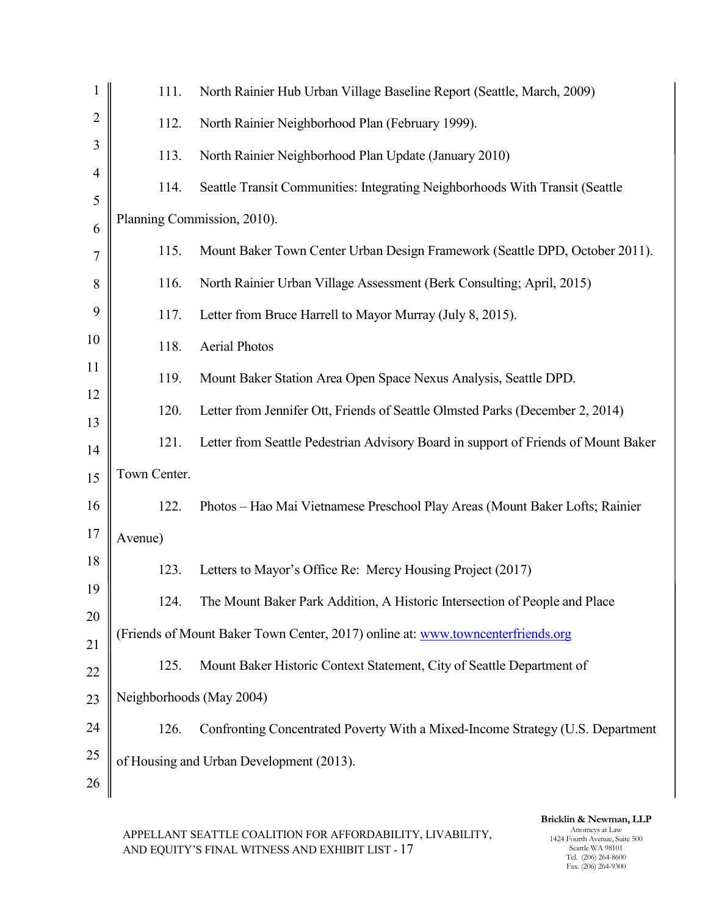| 1                   | 111.                     | North Rainier Hub Urban Village Baseline Report (Seattle, March, 2009)             |
|---------------------|--------------------------|------------------------------------------------------------------------------------|
| $\overline{2}$      | 112.                     | North Rainier Neighborhood Plan (February 1999).                                   |
| 3                   | 113.                     | North Rainier Neighborhood Plan Update (January 2010)                              |
| $\overline{4}$<br>5 | 114.                     | Seattle Transit Communities: Integrating Neighborhoods With Transit (Seattle       |
| 6                   |                          | Planning Commission, 2010).                                                        |
| $\overline{7}$      | 115.                     | Mount Baker Town Center Urban Design Framework (Seattle DPD, October 2011).        |
| 8                   | 116.                     | North Rainier Urban Village Assessment (Berk Consulting; April, 2015)              |
| 9                   | 117.                     | Letter from Bruce Harrell to Mayor Murray (July 8, 2015).                          |
| 10                  | 118.                     | <b>Aerial Photos</b>                                                               |
| 11                  | 119.                     | Mount Baker Station Area Open Space Nexus Analysis, Seattle DPD.                   |
| 12<br>13            | 120.                     | Letter from Jennifer Ott, Friends of Seattle Olmsted Parks (December 2, 2014)      |
| 14                  | 121.                     | Letter from Seattle Pedestrian Advisory Board in support of Friends of Mount Baker |
| 15                  | Town Center.             |                                                                                    |
| 16                  | 122.                     | Photos - Hao Mai Vietnamese Preschool Play Areas (Mount Baker Lofts; Rainier       |
| 17                  | Avenue)                  |                                                                                    |
| 18                  | 123.                     | Letters to Mayor's Office Re: Mercy Housing Project (2017)                         |
| 19                  | 124.                     | The Mount Baker Park Addition, A Historic Intersection of People and Place         |
| 20<br>21            |                          | (Friends of Mount Baker Town Center, 2017) online at: www.towncenterfriends.org    |
| 22                  | 125.                     | Mount Baker Historic Context Statement, City of Seattle Department of              |
| 23                  | Neighborhoods (May 2004) |                                                                                    |
| 24                  | 126.                     | Confronting Concentrated Poverty With a Mixed-Income Strategy (U.S. Department     |
| 25                  |                          | of Housing and Urban Development (2013).                                           |
| 26                  |                          |                                                                                    |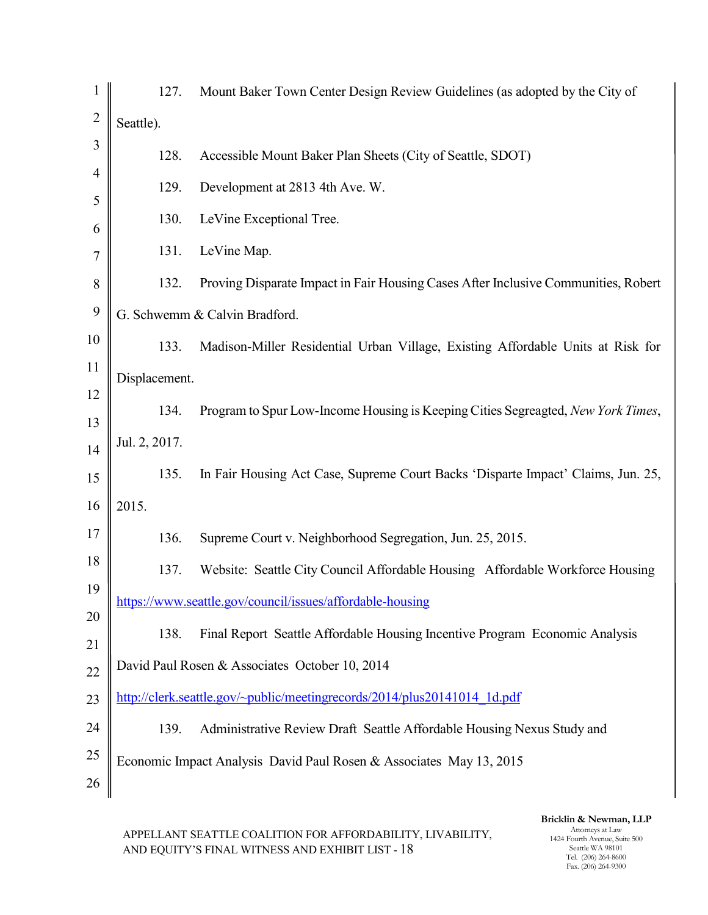|                | 127.          | Mount Baker Town Center Design Review Guidelines (as adopted by the City of        |
|----------------|---------------|------------------------------------------------------------------------------------|
| $\overline{2}$ | Seattle).     |                                                                                    |
| 3              | 128.          | Accessible Mount Baker Plan Sheets (City of Seattle, SDOT)                         |
| 4              | 129.          | Development at 2813 4th Ave. W.                                                    |
| 5<br>6         | 130.          | LeVine Exceptional Tree.                                                           |
| 7              | 131.          | LeVine Map.                                                                        |
| 8              | 132.          | Proving Disparate Impact in Fair Housing Cases After Inclusive Communities, Robert |
| 9              |               | G. Schwemm & Calvin Bradford.                                                      |
| 10             | 133.          | Madison-Miller Residential Urban Village, Existing Affordable Units at Risk for    |
| 11             | Displacement. |                                                                                    |
| 12             | 134.          | Program to Spur Low-Income Housing is Keeping Cities Segreagted, New York Times,   |
| 13<br>14       | Jul. 2, 2017. |                                                                                    |
| 15             | 135.          | In Fair Housing Act Case, Supreme Court Backs 'Disparte Impact' Claims, Jun. 25,   |
| 16             | 2015.         |                                                                                    |
| 17             | 136.          | Supreme Court v. Neighborhood Segregation, Jun. 25, 2015.                          |
| 18             | 137.          | Website: Seattle City Council Affordable Housing Affordable Workforce Housing      |
| 19             |               | https://www.seattle.gov/council/issues/affordable-housing                          |
| 20             | 138.          | Final Report Seattle Affordable Housing Incentive Program Economic Analysis        |
| 21             |               | David Paul Rosen & Associates October 10, 2014                                     |
| 22<br>23       |               | http://clerk.seattle.gov/~public/meetingrecords/2014/plus20141014 1d.pdf           |
| 24             | 139.          | Administrative Review Draft Seattle Affordable Housing Nexus Study and             |
| 25             |               | Economic Impact Analysis David Paul Rosen & Associates May 13, 2015                |
| 26             |               |                                                                                    |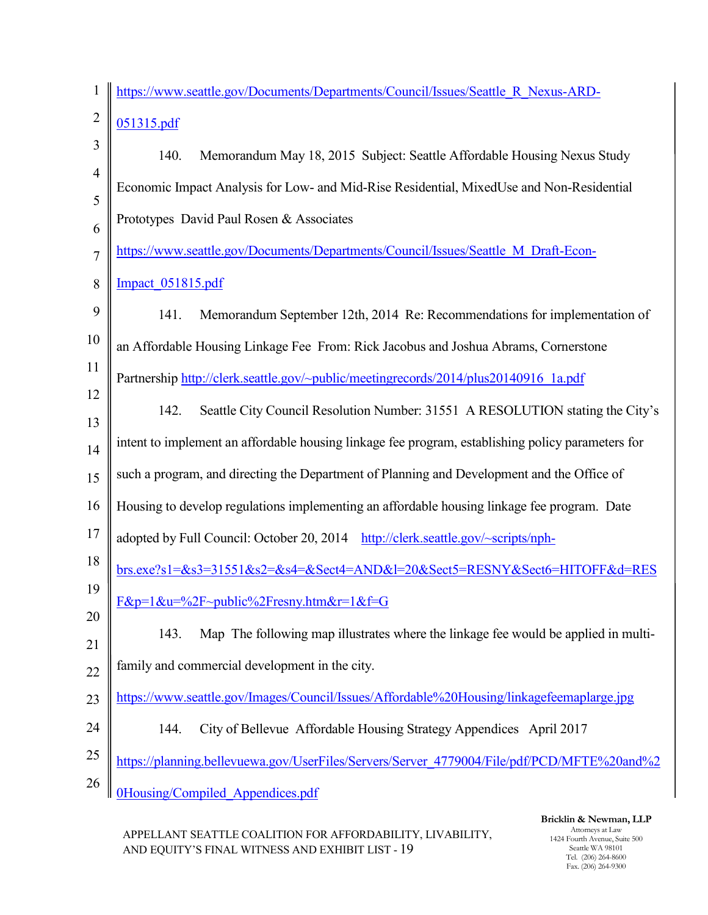| $\mathbf{1}$   | https://www.seattle.gov/Documents/Departments/Council/Issues/Seattle R Nexus-ARD-                 |
|----------------|---------------------------------------------------------------------------------------------------|
| $\overline{2}$ | 051315.pdf                                                                                        |
| 3              | Memorandum May 18, 2015 Subject: Seattle Affordable Housing Nexus Study<br>140.                   |
| $\overline{4}$ | Economic Impact Analysis for Low- and Mid-Rise Residential, MixedUse and Non-Residential          |
| 5              | Prototypes David Paul Rosen & Associates                                                          |
| 6<br>7         | https://www.seattle.gov/Documents/Departments/Council/Issues/Seattle M Draft-Econ-                |
| 8              | Impact 051815.pdf                                                                                 |
| 9              | Memorandum September 12th, 2014 Re: Recommendations for implementation of<br>141.                 |
| 10             |                                                                                                   |
| 11             | an Affordable Housing Linkage Fee From: Rick Jacobus and Joshua Abrams, Cornerstone               |
|                | Partnership http://clerk.seattle.gov/~public/meetingrecords/2014/plus20140916_1a.pdf              |
| 12<br>13       | Seattle City Council Resolution Number: 31551 A RESOLUTION stating the City's<br>142.             |
| 14             | intent to implement an affordable housing linkage fee program, establishing policy parameters for |
| 15             | such a program, and directing the Department of Planning and Development and the Office of        |
| 16             | Housing to develop regulations implementing an affordable housing linkage fee program. Date       |
| 17             | adopted by Full Council: October 20, 2014 http://clerk.seattle.gov/~scripts/nph-                  |
| 18             | brs.exe?s1=&s3=31551&s2=&s4=&Sect4=AND&l=20&Sect5=RESNY&Sect6=HITOFF&d=RES                        |
| 19             | $F&p=1&w=%2F\sim public\%2Fresny.htm&r=1&f=G$                                                     |
| 20             | Map The following map illustrates where the linkage fee would be applied in multi-<br>143.        |
| 21             | family and commercial development in the city.                                                    |
| 22             |                                                                                                   |
| 23             | https://www.seattle.gov/Images/Council/Issues/Affordable%20Housing/linkagefeemaplarge.jpg         |
| 24             | City of Bellevue Affordable Housing Strategy Appendices April 2017<br>144.                        |
| 25             | https://planning.bellevuewa.gov/UserFiles/Servers/Server 4779004/File/pdf/PCD/MFTE%20and%2        |
| 26             | <b>0Housing/Compiled Appendices.pdf</b>                                                           |

Bricklin & Newman, LLP Attorneys at Law 1424 Fourth Avenue, Suite 500 Seattle WA 98101 Tel. (206) 264-8600 Fax. (206) 264-9300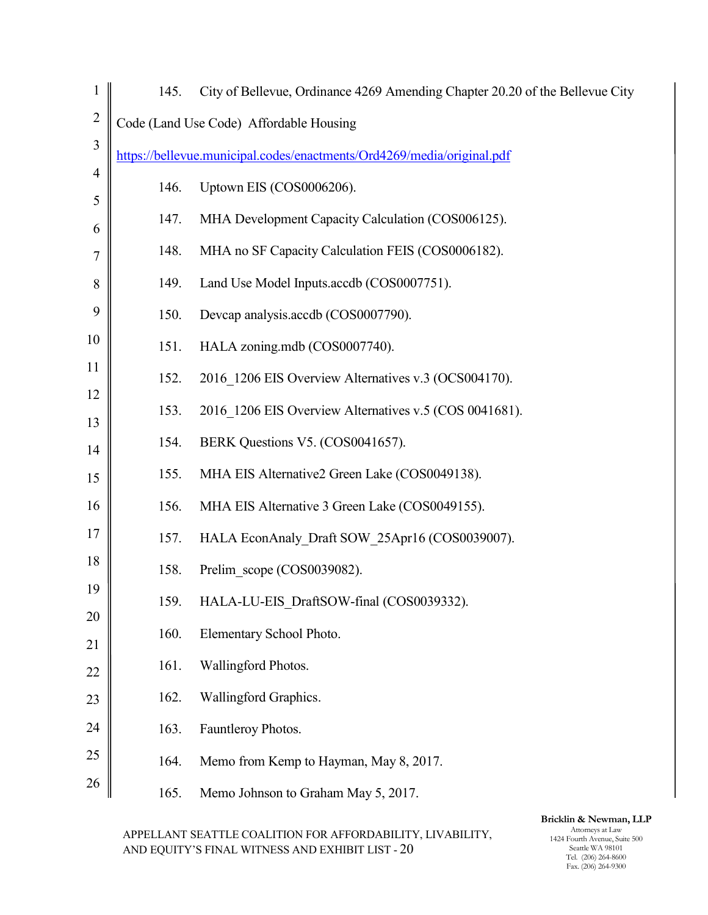| 1                   | 145. | City of Bellevue, Ordinance 4269 Amending Chapter 20.20 of the Bellevue City |
|---------------------|------|------------------------------------------------------------------------------|
| $\overline{2}$      |      | Code (Land Use Code) Affordable Housing                                      |
| 3                   |      | https://bellevue.municipal.codes/enactments/Ord4269/media/original.pdf       |
| $\overline{4}$<br>5 | 146. | Uptown EIS (COS0006206).                                                     |
| 6                   | 147. | MHA Development Capacity Calculation (COS006125).                            |
| 7                   | 148. | MHA no SF Capacity Calculation FEIS (COS0006182).                            |
| 8                   | 149. | Land Use Model Inputs.accdb (COS0007751).                                    |
| 9                   | 150. | Devcap analysis.accdb (COS0007790).                                          |
| 10                  | 151. | HALA zoning.mdb (COS0007740).                                                |
| 11                  | 152. | 2016 1206 EIS Overview Alternatives v.3 (OCS004170).                         |
| 12<br>13            | 153. | 2016 1206 EIS Overview Alternatives v.5 (COS 0041681).                       |
| 14                  | 154. | BERK Questions V5. (COS0041657).                                             |
| 15                  | 155. | MHA EIS Alternative2 Green Lake (COS0049138).                                |
| 16                  | 156. | MHA EIS Alternative 3 Green Lake (COS0049155).                               |
| 17                  | 157. | HALA EconAnaly Draft SOW 25Apr16 (COS0039007).                               |
| 18                  | 158. | Prelim scope (COS0039082).                                                   |
| 19                  | 159. | HALA-LU-EIS_DraftSOW-final (COS0039332).                                     |
| 20<br>21            | 160. | Elementary School Photo.                                                     |
| 22                  | 161. | Wallingford Photos.                                                          |
| 23                  | 162. | Wallingford Graphics.                                                        |
| 24                  | 163. | Fauntleroy Photos.                                                           |
| 25                  | 164. | Memo from Kemp to Hayman, May 8, 2017.                                       |
| 26                  | 165. | Memo Johnson to Graham May 5, 2017.                                          |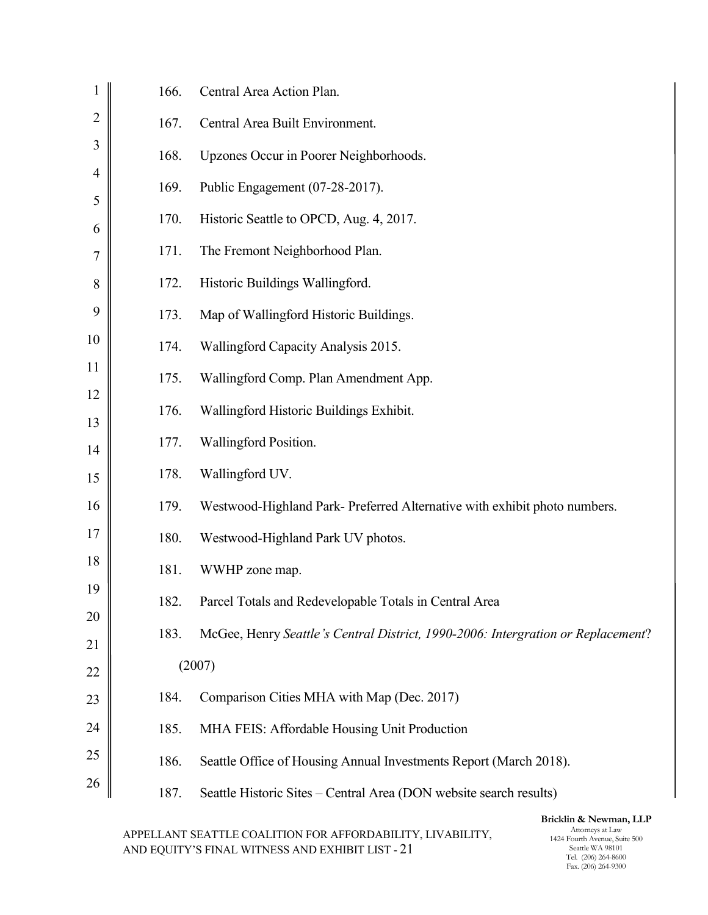| $\mathbf{1}$        | 166. | Central Area Action Plan.                                                        |
|---------------------|------|----------------------------------------------------------------------------------|
| $\overline{2}$      | 167. | Central Area Built Environment.                                                  |
| 3                   | 168. | Upzones Occur in Poorer Neighborhoods.                                           |
| $\overline{4}$<br>5 | 169. | Public Engagement (07-28-2017).                                                  |
| 6                   | 170. | Historic Seattle to OPCD, Aug. 4, 2017.                                          |
| 7                   | 171. | The Fremont Neighborhood Plan.                                                   |
| 8                   | 172. | Historic Buildings Wallingford.                                                  |
| 9                   | 173. | Map of Wallingford Historic Buildings.                                           |
| 10                  | 174. | Wallingford Capacity Analysis 2015.                                              |
| 11                  | 175. | Wallingford Comp. Plan Amendment App.                                            |
| 12<br>13            | 176. | Wallingford Historic Buildings Exhibit.                                          |
| 14                  | 177. | Wallingford Position.                                                            |
| 15                  | 178. | Wallingford UV.                                                                  |
| 16                  | 179. | Westwood-Highland Park- Preferred Alternative with exhibit photo numbers.        |
| 17                  | 180. | Westwood-Highland Park UV photos.                                                |
| 18                  | 181. | WWHP zone map.                                                                   |
| 19                  | 182. | Parcel Totals and Redevelopable Totals in Central Area                           |
| 20<br>21            | 183. | McGee, Henry Seattle's Central District, 1990-2006: Intergration or Replacement? |
| 22                  |      | (2007)                                                                           |
| 23                  | 184. | Comparison Cities MHA with Map (Dec. 2017)                                       |
| 24                  | 185. | MHA FEIS: Affordable Housing Unit Production                                     |
| 25                  | 186. | Seattle Office of Housing Annual Investments Report (March 2018).                |
| 26                  | 187. | Seattle Historic Sites - Central Area (DON website search results)               |
|                     |      |                                                                                  |

## Bricklin & Newman, LLP